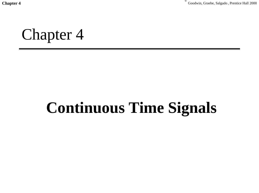Chapter 4<sup> **Chapter 4 Chapter 4 Chapter 4 Chapter 4 Chapter 4 Chapter 4 Chapter 4 Chapter 4 C** Goodwin, Graebe, Salgado , Prentice Hall 2000</sup>

Chapter 4

## **Continuous Time Signals**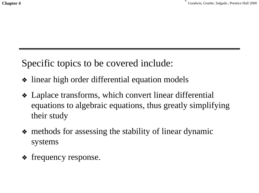Specific topics to be covered include:

- ❖ linear high order differential equation models
- ❖ Laplace transforms, which convert linear differential equations to algebraic equations, thus greatly simplifying their study
- ❖ methods for assessing the stability of linear dynamic systems
- ❖ frequency response.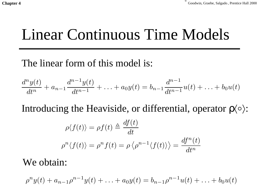# Linear Continuous Time Models

#### The linear form of this model is:

$$
\frac{d^n y(t)}{dt^n} + a_{n-1} \frac{d^{n-1} y(t)}{dt^{n-1}} + \ldots + a_0 y(t) = b_{n-1} \frac{d^{n-1}}{dt^{n-1}} u(t) + \ldots + b_0 u(t)
$$

Introducing the Heaviside, or differential, operator  $\rho \langle \circ \rangle$ :

$$
\rho \langle f(t) \rangle = \rho f(t) \triangleq \frac{df(t)}{dt}
$$

$$
\rho^n \langle f(t) \rangle = \rho^n f(t) = \rho \langle \rho^{n-1} \langle f(t) \rangle \rangle = \frac{df^n(t)}{dt^n}
$$

#### We obtain:

$$
\rho^n y(t) + a_{n-1}\rho^{n-1}y(t) + \ldots + a_0y(t) = b_{n-1}\rho^{n-1}u(t) + \ldots + b_0u(t)
$$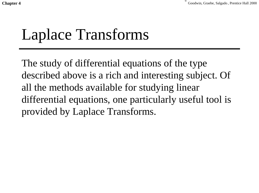**Chapter 4** Goodwin, Graebe, Salgado *, Prentice Hall 2000* 

# Laplace Transforms

The study of differential equations of the type described above is a rich and interesting subject. Of all the methods available for studying linear differential equations, one particularly useful tool is provided by Laplace Transforms.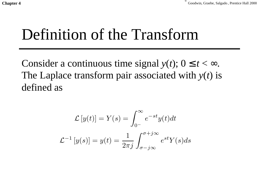# Definition of the Transform

Consider a continuous time signal  $y(t)$ ;  $0 \le t < \infty$ . The Laplace transform pair associated with *y*(*t*) is defined as

$$
\mathcal{L}[y(t)] = Y(s) = \int_{0^{-}}^{\infty} e^{-st} y(t) dt
$$

$$
\mathcal{L}^{-1}[y(s)] = y(t) = \frac{1}{2\pi j} \int_{\sigma - j\infty}^{\sigma + j\infty} e^{st} Y(s) ds
$$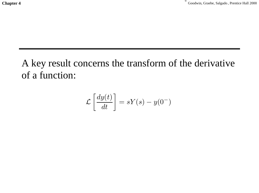A key result concerns the transform of the derivative of a function:

$$
\mathcal{L}\left[\frac{dy(t)}{dt}\right] = sY(s) - y(0^-)
$$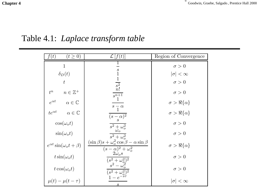Chapter 4<sup>Chapter 4</sub> Goodwin, Graebe, Salgado *, Prentice Hall 2000*</sup>

#### Table 4.1: *Laplace transform table*

| $(t \geq 0)$<br>f(t)                     | $\mathcal{L}  f(t) $                                                                       | Region of Convergence    |
|------------------------------------------|--------------------------------------------------------------------------------------------|--------------------------|
| $\mathbf{1}$                             |                                                                                            | $\sigma > 0$             |
| $\delta_D(t)$                            | $\frac{s}{1}$                                                                              | $ \sigma  < \infty$      |
| $t\,$                                    | $\overline{s^2}$                                                                           | $\sigma > 0$             |
| $n\in\mathbb{Z}^+$<br>$t^n$              | $\overline{s^{n+1}}$                                                                       | $\sigma > 0$             |
| $e^{\alpha t}$<br>$\alpha\in\mathbb{C}$  | $s - \alpha$                                                                               | $\sigma > \Re\{\alpha\}$ |
| $te^{\alpha t}$<br>$\alpha\in\mathbb{C}$ | $(s-\overline{s})^2$                                                                       | $\sigma > \Re\{\alpha\}$ |
| $\cos(\omega_o t)$                       | $\overline{s^2+\omega_o^2} \over \omega_o$                                                 | $\sigma > 0$             |
| $\sin(\omega_o t)$                       | $\overline{s^2+\omega_o^2}$                                                                | $\sigma > 0$             |
| $e^{\alpha t} \sin(\omega_o t + \beta)$  | $(\sin \beta)s + \omega_o^2 \cos \beta - \alpha \sin \beta$<br>$(s-\alpha)^2 + \omega_0^2$ | $\sigma > \Re\{\alpha\}$ |
| $t\sin(\omega_o t)$                      | $2\omega_o s$<br>$\overline{(s^2+\omega_o^2)^2\over s^2-\omega_o^2}$                       | $\sigma > 0$             |
| $t\cos(\omega_o t)$                      | $\sqrt{(s^2+\omega_o^2)^2}$                                                                | $\sigma > 0$             |
| $\mu(t) - \mu(t-\tau)$                   | $1-e^{-\check{s}\hat{\tau}}$<br>$\mathcal{S}_{\mathcal{S}}$                                | $ \sigma  < \infty$      |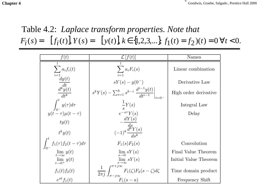Chapter 4<sup> **Chapter 4 Chapter 4 Chapter 4 Chapter 4 Chapter 4 Chapter 4 Chapter 4 Chapter 4 C** Goodwin, Graebe, Salgado , Prentice Hall 2000</sup>

#### Table 4.2: *Laplace transform properties. Note that*  $F_i(s) = [f_i(t)], Y(s) = [y(t)], k \in \{1, 2, 3, ...\}, f_1(t) = f_2(t) = 0 \forall t < 0.$

| f(t)                                                                                                                  | $\mathcal{L}  f(t) $                                                                          | Names                 |
|-----------------------------------------------------------------------------------------------------------------------|-----------------------------------------------------------------------------------------------|-----------------------|
|                                                                                                                       | $\sum a_i F_i(s)$                                                                             | Linear combination    |
|                                                                                                                       | $sY(s) - y(0^{-})$                                                                            | Derivative Law        |
| $\sum_{i=1}^t a_i f_i(t) \ \frac{dy(t)}{dt} \ \frac{d^k y(t)}{dt^k} \ \int_0^t y(\tau) d\tau \ y(t-\tau) \mu(t-\tau)$ | $s^{k}Y(s) - \sum_{i=1}^{k} s^{k-i} \left. \frac{d^{i-1}y(t)}{dt^{i-1}} \right _{t=\alpha-1}$ | High order derivative |
|                                                                                                                       | $\frac{1}{s}Y(s)$                                                                             | Integral Law          |
|                                                                                                                       | $e^{-s\tau}Y(s)$                                                                              | Delay                 |
| ty(t)                                                                                                                 |                                                                                               |                       |
| $t^k y(t)$                                                                                                            | $-\frac{dY(s)}{ds}\ (-1)^k \frac{d^k Y(s)}{ds^k}$                                             |                       |
| $\int_{0-}^{t} f_1(\tau) f_2(t-\tau) d\tau$<br>$\lim_{\substack{t \to \infty \\ i}} y(t)$                             | $F_1(s)F_2(s)$                                                                                | Convolution           |
|                                                                                                                       | $\lim_{s\to 0} sY(s)$                                                                         | Final Value Theorem   |
| $\lim_{t\to 0^+} y(t)$                                                                                                | $\lim_{s\to\infty} sY(s)$                                                                     | Initial Value Theorem |
| $f_1(t) f_2(t)$                                                                                                       | $\frac{1}{2\pi j}\int_{\sigma - j\infty}^{\sigma + j\infty} F_1(\zeta) F_2(s - \zeta) d\zeta$ | Time domain product   |
| $e^{at}f_1(t)$                                                                                                        | $F_1(s-a)$                                                                                    | Frequency Shift       |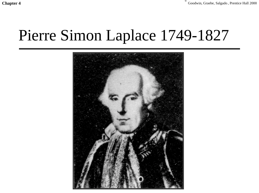Chapter 4<sup> **Chapter 4 Chapter 4 Chapter 4 Chapter 4 Chapter 4 Chapter 4 Chapter 4 Chapter 4 C** Goodwin, Graebe, Salgado , Prentice Hall 2000</sup>

# Pierre Simon Laplace 1749-1827

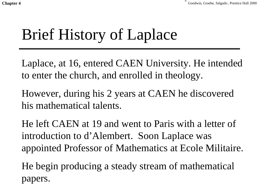# Brief History of Laplace

Laplace, at 16, entered CAEN University. He intended to enter the church, and enrolled in theology.

However, during his 2 years at CAEN he discovered his mathematical talents.

He left CAEN at 19 and went to Paris with a letter of introduction to d'Alembert. Soon Laplace was appointed Professor of Mathematics at Ecole Militaire.

He begin producing a steady stream of mathematical papers.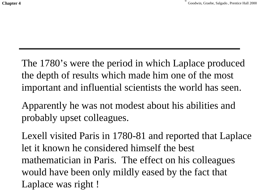The 1780's were the period in which Laplace produced the depth of results which made him one of the most important and influential scientists the world has seen.

Apparently he was not modest about his abilities and probably upset colleagues.

Lexell visited Paris in 1780-81 and reported that Laplace let it known he considered himself the best mathematician in Paris. The effect on his colleagues would have been only mildly eased by the fact that Laplace was right !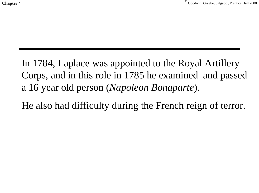In 1784, Laplace was appointed to the Royal Artillery Corps, and in this role in 1785 he examined and passed a 16 year old person (*Napoleon Bonaparte*).

He also had difficulty during the French reign of terror.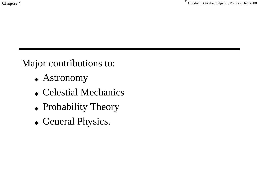Major contributions to:

- ◆ Astronomy
- ◆ Celestial Mechanics
- ◆ Probability Theory
- ◆ General Physics.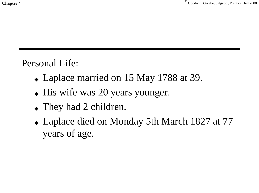Personal Life:

- ◆ Laplace married on 15 May 1788 at 39.
- ◆ His wife was 20 years younger.
- ◆ They had 2 children.
- ◆ Laplace died on Monday 5th March 1827 at 77 years of age.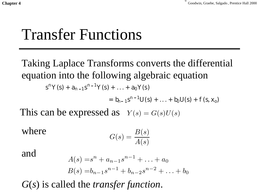## Transfer Functions

Taking Laplace Transforms converts the differential equation into the following algebraic equation  $s^{n}Y(s) + a_{n-1}s^{n-1}Y(s) + ... + a_{0}Y(s)$ -

 $= b_{n-1} s^{n-1} U(s) + \ldots + b_0 U(s) + f(s, x_0)$ 

This can be expressed as  $Y(s) = G(s)U(s)$ 

where 
$$
G(s) = \frac{B(s)}{A(s)}
$$

and

$$
A(s) = sn + an-1sn-1 + ... + a0
$$
  

$$
B(s) = bn-1sn-1 + bn-2sn-2 + ... + b0
$$

*G*(*s*) is called the *transfer function*.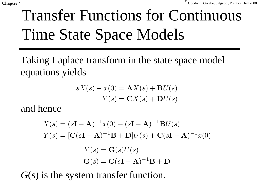# Transfer Functions for Continuous Time State Space Models

Taking Laplace transform in the state space model equations yields

$$
sX(s) - x(0) = AX(s) + BU(s)
$$

$$
Y(s) = CX(s) + DU(s)
$$

and hence

$$
X(s) = (s\mathbf{I} - \mathbf{A})^{-1}x(0) + (s\mathbf{I} - \mathbf{A})^{-1}\mathbf{B}U(s)
$$

$$
Y(s) = [\mathbf{C}(s\mathbf{I} - \mathbf{A})^{-1}\mathbf{B} + \mathbf{D}]U(s) + \mathbf{C}(s\mathbf{I} - \mathbf{A})^{-1}x(0)
$$

$$
Y(s) = \mathbf{G}(s)U(s)
$$

$$
\mathbf{G}(s) = \mathbf{C}(s\mathbf{I} - \mathbf{A})^{-1}\mathbf{B} + \mathbf{D}
$$

*G*(*s*) is the system transfer function.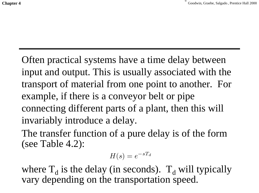Often practical systems have a time delay between input and output. This is usually associated with the transport of material from one point to another. For example, if there is a conveyor belt or pipe connecting different parts of a plant, then this will invariably introduce a delay.

The transfer function of a pure delay is of the form (see Table 4.2):

$$
H(s) = e^{-sT_d}
$$

where  $T_d$  is the delay (in seconds).  $T_d$  will typically vary depending on the transportation speed.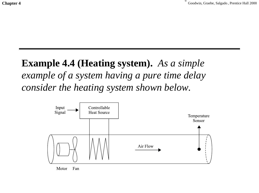## **Example 4.4 (Heating system).** *As a simple example of a system having a pure time delay consider the heating system shown below.*



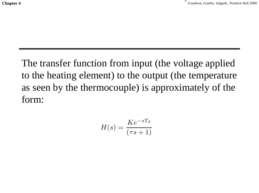The transfer function from input (the voltage applied to the heating element) to the output (the temperature as seen by the thermocouple) is approximately of the form:

$$
H(s) = \frac{Ke^{-sT_d}}{(\tau s + 1)}
$$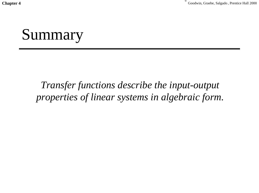**Chapter 4** Goodwin, Graebe, Salgado, Prentice Hall 2000

# Summary

### *Transfer functions describe the input-output properties of linear systems in algebraic form.*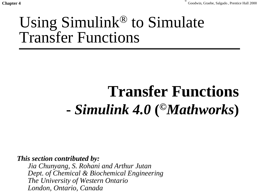## Using Simulink® to Simulate Transfer Functions

# **Transfer Functions -** *Simulink 4.0* **(***©Mathworks***)**

*This section contributed by:*

*Jia Chunyang, S. Rohani and Arthur Jutan Dept. of Chemical & Biochemical Engineering The University of Western Ontario London, Ontario, Canada*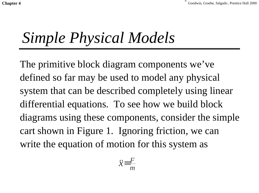**Chapter 4** Goodwin, Graebe, Salgado *Chapter 4* Goodwin, Graebe, Salgado *Chapter 4* Goodwin, Graebe, Salgado *Chapter 4* Goodwin, Graebe, Salgado *Chapter 4* Goodwin, Graebe, Salgado *Chapter 4* Goodwin, Graebe, Salgado

# *Simple Physical Models*

The primitive block diagram components we've defined so far may be used to model any physical system that can be described completely using linear differential equations. To see how we build block diagrams using these components, consider the simple cart shown in Figure 1. Ignoring friction, we can write the equation of motion for this system as

$$
\ddot{x} = \frac{F}{m}
$$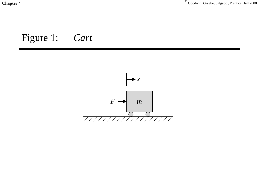Chapter 4<sup>Chapter 4</sub><sup>C</sup> Goodwin, Graebe, Salgado , Prentice Hall 2000</sup>

### Figure 1: *Cart*

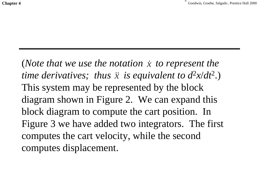(*Note that we use the notation*  $\dot{x}$  *to represent the time derivatives; thus*  $\ddot{x}$  *is equivalent to*  $d^2x/dt^2$ *.)* This system may be represented by the block diagram shown in Figure 2. We can expand this block diagram to compute the cart position. In Figure 3 we have added two integrators. The first computes the cart velocity, while the second computes displacement. & $\ddot{\mathcal{X}}$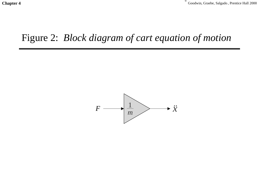#### Figure 2: *Block diagram of cart equation of motion*

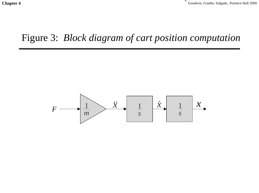#### Figure 3: *Block diagram of cart position computation*

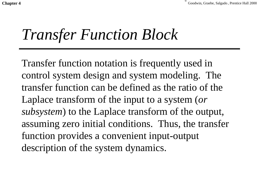**Chapter 4** Goodwin, Graebe, Salgado *Chapter 4* Goodwin, Graebe, Salgado *Chapter 4* Goodwin, Graebe, Salgado *Chapter 4* Goodwin, Graebe, Salgado *Chapter 4* Goodwin, Graebe, Salgado *Chapter 4* Goodwin, Graebe, Salgado

## *Transfer Function Block*

Transfer function notation is frequently used in control system design and system modeling. The transfer function can be defined as the ratio of theLaplace transform of the input to a system (*or subsystem*) to the Laplace transform of the output, assuming zero initial conditions. Thus, the transfer function provides a convenient input-output description of the system dynamics.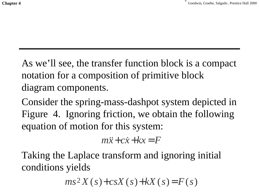As we'll see, the transfer function block is a compact notation for a composition of primitive block diagram components.

Consider the spring-mass-dashpot system depicted in Figure 4. Ignoring friction, we obtain the following equation of motion for this system:

 $m\ddot{x}+c\dot{x}+kx$  = *F* 

Taking the Laplace transform and ignoring initial conditions yields

 $ms^{2}X(s) + csX(s) + kX(s) = F(s)$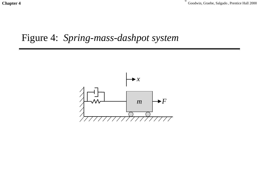Chapter 4<sup>Chapter 4</sub><sup>Chapter 4<sup>Chapter 4</sub><sup>C</sup><sub>Goodwin, Graebe, Salgado</sub>, Prentice Hall 2000<sup>C</sup></sup></sup></sup>

#### Figure 4: *Spring-mass-dashpot system*

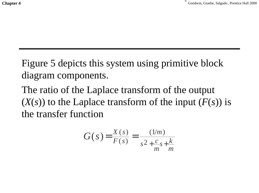Figure 5 depicts this system using primitive block diagram components.

The ratio of the Laplace transform of the output  $(X(s))$  to the Laplace transform of the input  $(F(s))$  is the transfer function

$$
G(s) = \frac{X(s)}{F(s)} = \frac{(1/m)}{s^2 + \frac{c}{m}s + \frac{k}{m}}
$$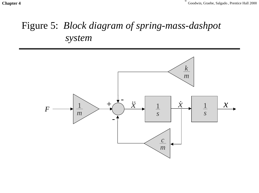Chapter 4<sup> **Chapter 4 Chapter 4 Chapter 4 Chapter 4 Chapter 4 Chapter 4 Chapter 4 Chapter 4 C** Goodwin, Graebe, Salgado , Prentice Hall 2000</sup>

### Figure 5: *Block diagram of spring-mass-dashpot system*

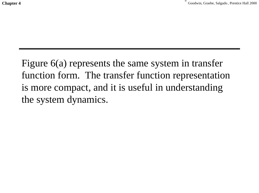Figure 6(a) represents the same system in transfer function form. The transfer function representation is more compact, and it is useful in understanding the system dynamics.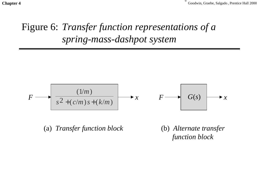Chapter 4<sup> **Chapter 4 Chapter 4 Chapter 4 Chapter 4 Chapter 4 Chapter 4 Chapter 4 Chapter 4 C** Goodwin, Graebe, Salgado , Prentice Hall 2000</sup>

### Figure 6: *Transfer function representations of a spring-mass-dashpot system*

$$
F \longrightarrow \left\lceil \frac{(1/m)}{s^2 + (c/m)s + (k/m)} \right\rceil \longrightarrow x \qquad F \longrightarrow G(s) \longrightarrow x
$$

(a) *Transfer function block* (b) *Alternate transfer*

*function block*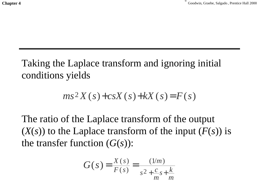Taking the Laplace transform and ignoring initial conditions yields

$$
ms^2X(s)+csX(s)+kX(s)=F(s)
$$

The ratio of the Laplace transform of the output  $(X(s))$  to the Laplace transform of the input  $(F(s))$  is the transfer function  $(G(s))$ :

$$
G(s) = \frac{X(s)}{F(s)} = \frac{(1/m)}{s^2 + \frac{c}{m}s + \frac{k}{m}}
$$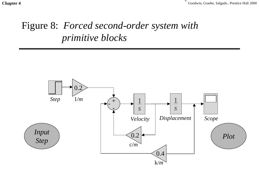Chapter 4<sup> **Chapter 4 Chapter 4 Chapter 4 Chapter 4 Chapter 4 Chapter 4 Chapter 4 Chapter 4 C** Goodwin, Graebe, Salgado , Prentice Hall 2000</sup>

### Figure 8: *Forced second-order system with primitive blocks*

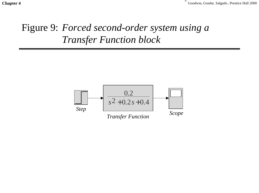Chapter 4<sup> **Chapter 4 Chapter 4 Chapter 4 Chapter 4 Chapter 4 Chapter 4 Chapter 4 Chapter 4 C** Goodwin, Graebe, Salgado , Prentice Hall 2000</sup>

### Figure 9: *Forced second-order system using a Transfer Function block*

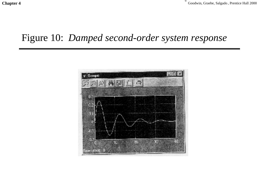#### Figure 10: *Damped second-order system response*

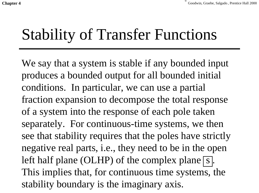## Stability of Transfer Functions

We say that a system is stable if any bounded input produces a bounded output for all bounded initial conditions. In particular, we can use a partial fraction expansion to decompose the total response of a system into the response of each pole taken separately. For continuous-time systems, we then see that stability requires that the poles have strictly negative real parts, i.e., they need to be in the open left half plane (OLHP) of the complex plane  $\boxed{s}$ . This implies that, for continuous time systems, the stability boundary is the imaginary axis.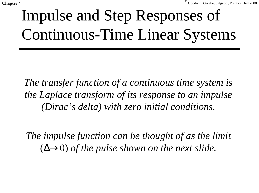# Impulse and Step Responses of Continuous-Time Linear Systems

*The transfer function of a continuous time system is the Laplace transform of its response to an impulse (Dirac's delta) with zero initial conditions.*

*The impulse function can be thought of as the limit*  $(\Delta \rightarrow 0)$  of the pulse shown on the next slide.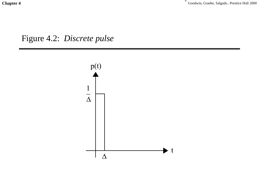Chapter 4<sup>Chapter 4</sub><sup>C</sup> Goodwin, Graebe, Salgado , Prentice Hall 2000</sup>

Figure 4.2: *Discrete pulse*

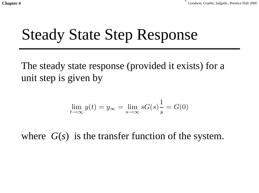## Steady State Step Response

The steady state response (provided it exists) for a unit step is given by

$$
\lim_{t \to \infty} y(t) = y_{\infty} = \lim_{s \to \infty} sG(s) \frac{1}{s} = G(0)
$$

where *G*(*s*) is the transfer function of the system.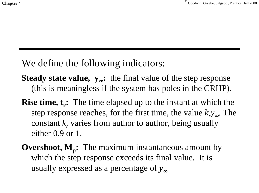We define the following indicators:

- **Steady state value, y**∞**:** the final value of the step response (this is meaningless if the system has poles in the CRHP).
- **Rise time, t.:** The time elapsed up to the instant at which the step response reaches, for the first time, the value  $k_y$ <sub>∞</sub>. The constant  $k_r$  varies from author to author, being usually either 0.9 or 1.
- **Overshoot, M<sub>p</sub>:** The maximum instantaneous amount by which the step response exceeds its final value. It is usually expressed as a percentage of *y*∞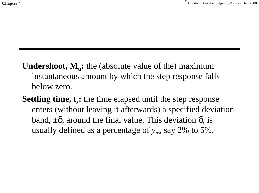- **Undershoot, M<sub>u</sub>:** the (absolute value of the) maximum instantaneous amount by which the step response falls below zero.
- **Settling time, t<sub>s</sub>:** the time elapsed until the step response enters (without leaving it afterwards) a specified deviation band,  $\pm \delta$ , around the final value. This deviation  $\delta$ , is usually defined as a percentage of  $y_{\infty}$ , say 2% to 5%.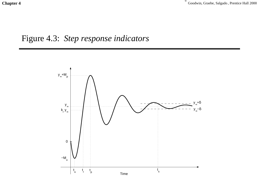Chapter 4<sup>Chapter 4</sub><sup>C</sup> Goodwin, Graebe, Salgado , Prentice Hall 2000</sup>

#### Figure 4.3: *Step response indicators*

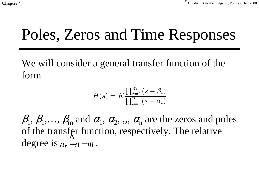### Poles, Zeros and Time Responses

We will consider a general transfer function of the form

$$
H(s) = K \frac{\prod_{i=1}^{m} (s - \beta_i)}{\prod_{l=1}^{n} (s - \alpha_l)}
$$

 $\beta_1, \beta_1, \ldots, \beta_m$  and  $\alpha_1, \alpha_2, \ldots, \alpha_n$  are the zeros and poles of the transfer function, respectively. The relative degree is  $n_r \stackrel{\Delta}{=} n-m$ .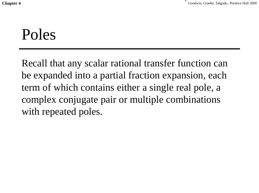### Poles

Recall that any scalar rational transfer function can be expanded into a partial fraction expansion, each term of which contains either a single real pole, a complex conjugate pair or multiple combinations with repeated poles.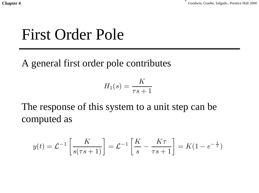### First Order Pole

A general first order pole contributes

$$
H_1(s) = \frac{K}{\tau s + 1}
$$

The response of this system to a unit step can be computed as

$$
y(t) = \mathcal{L}^{-1}\left[\frac{K}{s(\tau s + 1)}\right] = \mathcal{L}^{-1}\left[\frac{K}{s} - \frac{K\tau}{\tau s + 1}\right] = K(1 - e^{-\frac{t}{\tau}})
$$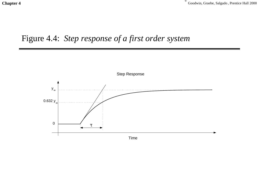Chapter 4<sup>Chapter 4</sub><sup> **Chapter 4 Chapter 4 Chapter 4 Chapter 4 Chapter 4 Chapter 4 Chapter 4 C** Goodwin, Graebe, Salgado , Prentice Hall 2000</sup></sup>

#### Figure 4.4: *Step response of a first order system*

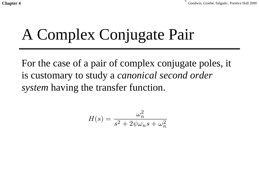# A Complex Conjugate Pair

For the case of a pair of complex conjugate poles, it is customary to study a *canonical second order system* having the transfer function.

$$
H(s) = \frac{\omega_n^2}{s^2 + 2\psi\omega_n s + \omega_n^2}
$$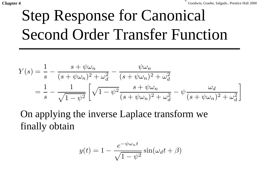# Step Response for Canonical Second Order Transfer Function

$$
Y(s) = \frac{1}{s} - \frac{s + \psi \omega_n}{(s + \psi \omega_n)^2 + \omega_d^2} - \frac{\psi \omega_n}{(s + \psi \omega_n)^2 + \omega_d^2}
$$
  
= 
$$
\frac{1}{s} - \frac{1}{\sqrt{1 - \psi^2}} \left[ \sqrt{1 - \psi^2} \frac{s + \psi \omega_n}{(s + \psi \omega_n)^2 + \omega_d^2} - \psi \frac{\omega_d}{(s + \psi \omega_n)^2 + \omega_d^2} \right]
$$

On applying the inverse Laplace transform we finally obtain

$$
y(t) = 1 - \frac{e^{-\psi \omega_n t}}{\sqrt{1 - \psi^2}} \sin(\omega_d t + \beta)
$$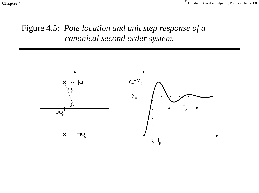Chapter 4<sup> **Chapter 4 Chapter 4 Chapter 4 Chapter 4 Chapter 4 Chapter 4 Chapter 4 Chapter 4 C** Goodwin, Graebe, Salgado , Prentice Hall 2000</sup>

#### Figure 4.5: *Pole location and unit step response of a canonical second order system.*

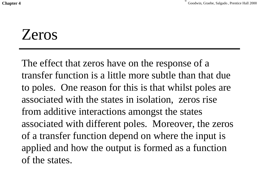### Zeros

The effect that zeros have on the response of a transfer function is a little more subtle than that dueto poles. One reason for this is that whilst poles are associated with the states in isolation, zeros rise from additive interactions amongst the states associated with different poles. Moreover, the zeros of a transfer function depend on where the input is applied and how the output is formed as a function of the states.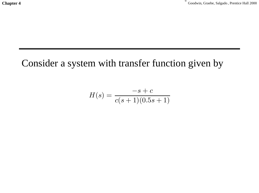Chapter 4<sup>Chapter 4</sub><sup> **Chapter 4 Chapter 4 Chapter 4 Chapter 4 Chapter 4 Chapter 4 Chapter 4 C** Goodwin, Graebe, Salgado , Prentice Hall 2000</sup></sup>

#### Consider a system with transfer function given by

$$
H(s) = \frac{-s + c}{c(s+1)(0.5s+1)}
$$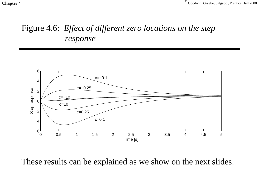**Chapter 4** Goodwin, Graebe, Salgado, Prentice Hall 2000

#### Figure 4.6: *Effect of different zero locations on the step response*



These results can be explained as we show on the next slides.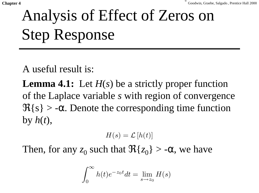# Analysis of Effect of Zeros on Step Response

A useful result is:

**Lemma 4.1:** Let *H*(*s*) be a strictly proper function of the Laplace variable *s* with region of convergence  $\Re\{s\} > -\alpha$ . Denote the corresponding time function by  $h(t)$ ,

 $H(s) = \mathcal{L}[h(t)]$ 

Then, for any  $z_0$  such that  $\Re\{z_0\} > -\alpha$ , we have

$$
\int_0^\infty h(t)e^{-z_0t}dt = \lim_{s \to z_0} H(s)
$$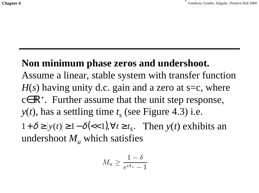#### **Non minimum phase zeros and undershoot.**

Assume a linear, stable system with transfer function  $H(s)$  having unity d.c. gain and a zero at s=c, where  $c \in \mathbb{R}^+$ . Further assume that the unit step response,  $y(t)$ , has a settling time  $t<sub>s</sub>$  (see Figure 4.3) i.e.  $1 + \delta \ge |y(t)| \ge 1 - \delta \le 1$ ,  $\forall t \ge t_s$ . Then  $y(t)$  exhibits an undershoot  $M_{\mu}$  which satisfies

$$
M_u \ge \frac{1-\delta}{e^{ct_s} - 1}
$$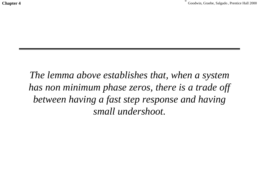**Chapter 4** Goodwin, Graebe, Salgado *, Prentice Hall 2000* 

*The lemma above establishes that, when a system has non minimum phase zeros, there is a trade off between having a fast step response and having small undershoot.*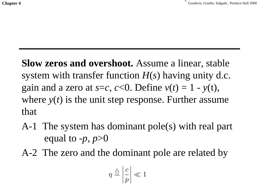**Slow zeros and overshoot.** Assume a linear, stable system with transfer function *H*(*s*) having unity d.c. gain and a zero at  $s=c$ ,  $c<0$ . Define  $v(t) = 1 - v(t)$ , where  $y(t)$  is the unit step response. Further assume that

- A-1 The system has dominant pole(s) with real part equal to  $-p$ ,  $p>0$
- A-2 The zero and the dominant pole are related by

$$
\eta \stackrel{\triangle}{=} \left| \frac{c}{p} \right| \ll 1
$$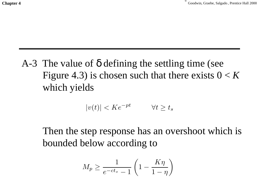### A-3 The value of  $\delta$  defining the settling time (see Figure 4.3) is chosen such that there exists  $0 < K$ which yields

$$
|v(t)| < Ke^{-pt} \qquad \forall t \ge t_s
$$

Then the step response has an overshoot which is bounded below according to

$$
M_p \geq \frac{1}{e^{-ct_s}-1}\left(1-\frac{K\eta}{1-\eta}\right)
$$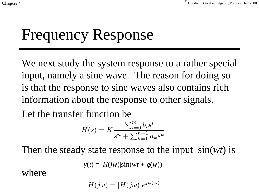**Chapter 4** Goodwin, Graebe, Salgado *Chapter 4* Goodwin, Graebe, Salgado *Chapter 4* Goodwin, Graebe, Salgado *Chapter 4* Goodwin, Graebe, Salgado *Chapter 4* Goodwin, Graebe, Salgado *Chapter 4* Goodwin, Graebe, Salgado

# Frequency Response

We next study the system response to a rather special input, namely a sine wave. The reason for doing so is that the response to sine waves also contains rich information about the response to other signals.

Let the transfer function be

$$
H(s) = K \frac{\sum_{i=0}^{m} b_i s^i}{s^n + \sum_{k=1}^{n-1} a_k s^k}
$$

Then the steady state response to the input sin(*wt*) is

$$
y(t) = |H(jw)|\sin(wt + \phi(w))
$$

where

$$
H(j\omega) = |H(j\omega)|e^{j\phi(\omega)}
$$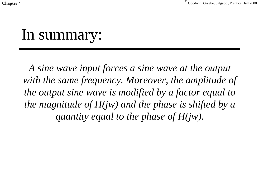**Chapter 4** Goodwin, Graebe, Salgado *Chapter 4* Goodwin, Graebe, Salgado *Chapter 4* Goodwin, Graebe, Salgado *Chapter 4* Goodwin, Graebe, Salgado *Chapter 4* Goodwin, Graebe, Salgado *Chapter 4* Goodwin, Graebe, Salgado

### In summary:

*A sine wave input forces a sine wave at the output with the same frequency. Moreover, the amplitude of the output sine wave is modified by a factor equal to the magnitude of H(jw) and the phase is shifted by a quantity equal to the phase of H(jw).*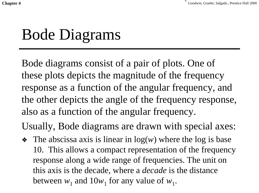### Bode Diagrams

Bode diagrams consist of a pair of plots. One of these plots depicts the magnitude of the frequency response as a function of the angular frequency, and the other depicts the angle of the frequency response, also as a function of the angular frequency.

Usually, Bode diagrams are drawn with special axes:

❖ The abscissa axis is linear in log(*w*) where the log is base 10. This allows a compact representation of the frequency response along a wide range of frequencies. The unit on this axis is the decade, where a *decade* is the distance between  $w_1$  and  $10w_1$  for any value of  $w_1$ .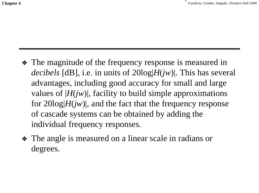- ❖ The magnitude of the frequency response is measured in *decibels* [dB], i.e. in units of 20log|*H*(*jw*)|. This has several advantages, including good accuracy for small and large values of  $|H(jw)|$ , facility to build simple approximations for  $20\log|H(jw)|$ , and the fact that the frequency response of cascade systems can be obtained by adding the individual frequency responses.
- ❖ The angle is measured on a linear scale in radians or degrees.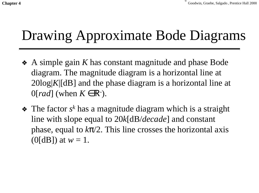### Drawing Approximate Bode Diagrams

- ❖ A simple gain *K* has constant magnitude and phase Bode diagram. The magnitude diagram is a horizontal line at 20log|*K*|[dB] and the phase diagram is a horizontal line at  $0[rad]$  (when  $K \in \mathbb{R}^2$ ).
- ❖ The factor *s<sup>k</sup>* has a magnitude diagram which is a straight line with slope equal to 20*k*[dB/*decade*] and constant phase, equal to  $k\pi/2$ . This line crosses the horizontal axis (0[dB]) at  $w = 1$ .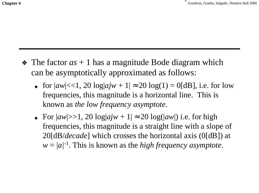- ❖ The factor *as* + 1 has a magnitude Bode diagram which can be asymptotically approximated as follows:
	- ◆ for  $|aw| \lt 1$ , 20  $log|ajw + 1| \approx 20 log(1) = 0$  [dB], i.e. for low frequencies, this magnitude is a horizontal line. This is known as *the low frequency asymptote*.
	- ◆ For |*aw*|>>1, 20 log|*ajw* + 1| ≈ 20 log(|*aw*|) i.e. for high frequencies, this magnitude is a straight line with a slope of 20[dB/*decade*] which crosses the horizontal axis (0[dB]) at  $w = |a|^{-1}$ . This is known as the *high frequency asymptote*.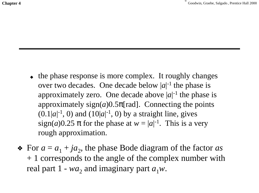- the phase response is more complex. It roughly changes over two decades. One decade below  $|a|^{-1}$  the phase is approximately zero. One decade above  $|a|$ <sup>-1</sup> the phase is approximately  $sign(a)0.5\pi[rad]$ . Connecting the points  $(0.1|a|^{-1}, 0)$  and  $(10|a|^{-1}, 0)$  by a straight line, gives sign(*a*)0.25  $\pi$  for the phase at  $w = |a|^{-1}$ . This is a very rough approximation.
- $\triangleleft$  For  $a = a_1 + ja_2$ , the phase Bode diagram of the factor *as* + 1 corresponds to the angle of the complex number with real part  $1 - wa_2$  and imaginary part  $a_1w$ .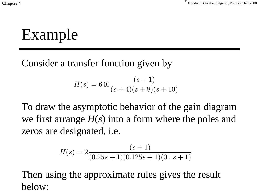Example

Consider a transfer function given by

$$
H(s) = 640 \frac{(s+1)}{(s+4)(s+8)(s+10)}
$$

To draw the asymptotic behavior of the gain diagram we first arrange *H*(*s*) into a form where the poles and zeros are designated, i.e.

$$
H(s) = 2\frac{(s+1)}{(0.25s+1)(0.125s+1)(0.1s+1)}
$$

Then using the approximate rules gives the result below: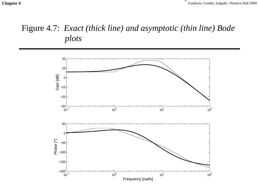Chapter 4<sup> **Chapter 4 Chapter 4 Chapter 4 Chapter 4 Chapter 4 Chapter 4 Chapter 4 Chapter 4 Chapter 4 C** Goodwin, Graebe, Salgado , Prentice Hall 2000</sup>

#### Figure 4.7: *Exact (thick line) and asymptotic (thin line) Bode plots*

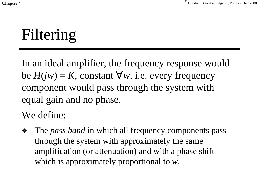# Filtering

In an ideal amplifier, the frequency response would be  $H(iw) = K$ , constant ∀w, i.e. every frequency component would pass through the system with equal gain and no phase.

We define:

❖ The *pass band* in which all frequency components pass through the system with approximately the same amplification (or attenuation) and with a phase shift which is approximately proportional to *<sup>w</sup>*.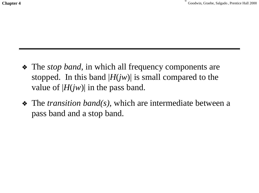**Chapter 4** Goodwin, Graebe, Salgado *, Prentice Hall 2000* 

- ❖ The *stop band*, in which all frequency components are stopped. In this band  $|H(jw)|$  is small compared to the value of  $|H(jw)|$  in the pass band.
- ❖ The *transition band(s),* which are intermediate between a pass band and a stop band.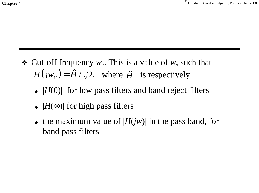- Cut-off frequency  $w_c$ . This is a value of w, such that  $|H(jw_c)| = \hat{H}/\sqrt{2}$ , where  $\hat{H}$  is respectively
	- ◆ |*H*(0)| for low pass filters and band reject filters
	- ◆ |*H*(∞)| for high pass filters
	- ◆ the maximum value of |*H*(*jw*)| in the pass band, for band pass filters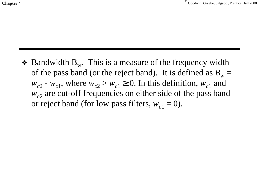• Bandwidth  $B_w$ . This is a measure of the frequency width of the pass band (or the reject band). It is defined as  $B_w =$  $w_{c2}$  -  $w_{c1}$ , where  $w_{c2} > w_{c1} \ge 0$ . In this definition,  $w_{c1}$  and  $w_c$  are cut-off frequencies on either side of the pass band or reject band (for low pass filters,  $w_{c1} = 0$ ).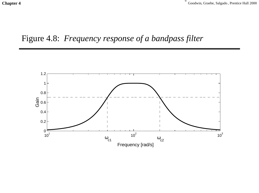Chapter 4<sup> **Chapter 4 Chapter 4 Chapter 4 Chapter 4 Chapter 4 Chapter 4 Chapter 4 Chapter 4 Chapter 4 C** Goodwin, Graebe, Salgado , Prentice Hall 2000</sup>

### Figure 4.8: *Frequency response of a bandpass filter*

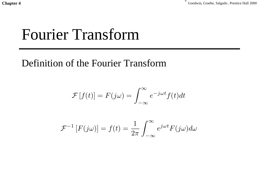## Fourier Transform

### Definition of the Fourier Transform

$$
\mathcal{F}[f(t)] = F(j\omega) = \int_{-\infty}^{\infty} e^{-j\omega t} f(t) dt
$$

$$
\mathcal{F}^{-1}[F(j\omega)] = f(t) = \frac{1}{2\pi} \int_{-\infty}^{\infty} e^{j\omega t} F(j\omega) d\omega
$$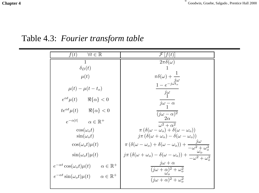Chapter 4<sup>Chapter 4</sub> Goodwin, Graebe, Salgado *, Prentice Hall 2000*</sup>

Table 4.3: *Fourier transform table*

| $2\pi\delta(\omega)$<br>$\mathbf{1}$<br>$\delta_D(t)$<br>1                                                                           |  |
|--------------------------------------------------------------------------------------------------------------------------------------|--|
|                                                                                                                                      |  |
|                                                                                                                                      |  |
| $\mu(t)$                                                                                                                             |  |
| $\pi\delta(\omega) + \frac{1}{j\omega}$<br>$\frac{1-e^{-j\omega t_o}}{}$<br>$\mu(t) - \mu(t - t_o)$<br>$\overline{j\omega}$          |  |
| $e^{\alpha t} \mu(t)$ $\Re{\alpha} < 0$<br>$j\omega - \alpha$                                                                        |  |
| $te^{\alpha t}\mu(t)$ $\Re{\alpha} < 0$<br>$(j\omega - \alpha)^2$ $2\alpha$                                                          |  |
| $e^{-\alpha t }$ $\alpha \in \mathbb{R}^+$<br>$\overline{\omega^2} + \alpha^2$                                                       |  |
| $\pi (\delta(\omega - \omega_o) + \delta(\omega - \omega_o))$<br>$\cos(\omega_o t)$                                                  |  |
| $j\pi\left(\delta(\omega+\omega_o)-\delta(\omega-\omega_o)\right)$<br>$\sin(\omega_o t)$                                             |  |
| $\pi (\delta(\omega - \omega_o) + \delta(\omega - \omega_o)) + \frac{j\omega}{-\omega^2 + \omega_o^2}$<br>$\cos(\omega_o t)\mu(t)$   |  |
| $j\pi\left(\delta(\omega+\omega_o)-\delta(\omega-\omega_o)\right)+\frac{\omega_o}{-\omega^2+\omega_o^2}$<br>$\sin(\omega_o t)\mu(t)$ |  |
| $j\omega + \alpha$<br>$e^{-\alpha t} \cos(\omega_o t) \mu(t) \qquad \alpha \in \mathbb{R}^+$<br>$(j\omega + \alpha)^2 + \omega_o^2$  |  |
| $e^{-\alpha t} \sin(\omega_o t) \mu(t) \qquad \alpha \in \mathbb{R}^+$<br>$(j\omega + \alpha)^2 + \omega_0^2$                        |  |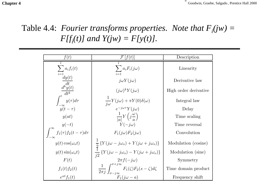Chapter 4<sup> **Chapter 4 Chapter 4 Chapter 4 Chapter 4 Chapter 4 Chapter 4 Chapter 4 Chapter 4 C** Goodwin, Graebe, Salgado , Prentice Hall 2000</sup>

### Table 4.4: *Fourier transforms properties. Note that*  $F_i(jw) =$ *F*[ $f_i(t)$ ] and  $Y(jw) = F[y(t)]$ .

| f(t)                                                           | :Æ<br>t(t)                                                                                                                                                                              | Description           |
|----------------------------------------------------------------|-----------------------------------------------------------------------------------------------------------------------------------------------------------------------------------------|-----------------------|
| $\sum a_i f_i(t)$                                              | $\sum a_i F_i(j\omega)$<br>$i=1$                                                                                                                                                        | Linearity             |
| $\overline{t=1}$<br>$\frac{dy(t)}{dt}$                         | $j\omega Y(j\omega)$                                                                                                                                                                    | Derivative law        |
| $\overline{d^k y(t)}$                                          | $(j\omega)^k Y(j\omega)$                                                                                                                                                                | High order derivative |
| $\int_{-\infty}^{t} \frac{dt^k}{y(\tau) d\tau}$<br>$y(t-\tau)$ | $\frac{1}{j\omega}Y(j\omega) + \pi Y(0)\delta(\omega)$<br>$e^{-j\omega\tau}Y(j\omega)$                                                                                                  | Integral law          |
|                                                                |                                                                                                                                                                                         | Delay                 |
| y(at)                                                          | $\frac{1}{ a }Y\left(j\frac{\omega}{a}\right)$                                                                                                                                          | Time scaling          |
|                                                                | $\dot{Y}(-i\omega)$                                                                                                                                                                     | Time reversal         |
| $\int_{-\infty}^{\infty} f_1(\tau) f_2(t-\tau) d\tau$          | $F_1(j\omega)F_2(j\omega)$                                                                                                                                                              | Convolution           |
| $y(t) \cos(\omega_o t)$                                        | $\frac{1}{2} \left\{ Y(j\omega - j\omega_o) + Y(j\omega + j\omega_o) \right\}$<br>$\frac{1}{j2} \left\{ Y(j\omega - j\omega_o) - Y(j\omega + j\omega_o) \right\}$<br>$2\pi f(-j\omega)$ | Modulation (cosine)   |
| $y(t)$ sin( $\omega_o t$ )                                     |                                                                                                                                                                                         | Modulation (sine)     |
| F(t)                                                           |                                                                                                                                                                                         | Symmetry              |
| $f_1(t) f_2(t)$                                                | $\frac{1}{2\pi j}\int_{\sigma - j\infty}^{\sigma + j\infty} F_1(\zeta) F_2(s - \zeta) d\zeta$                                                                                           | Time domain product   |
| $e^{at}f_1(t)$                                                 | $F_1(i\omega - a)$                                                                                                                                                                      | Frequency shift       |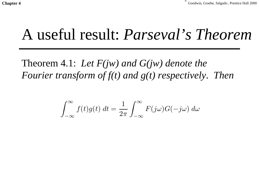## A useful result: *Parseval's Theorem*

Theorem 4.1: *Let F(jw) and G(jw) denote the Fourier transform of f(t) and g(t) respectively. Then*

$$
\int_{-\infty}^{\infty} f(t)g(t) dt = \frac{1}{2\pi} \int_{-\infty}^{\infty} F(j\omega)G(-j\omega) d\omega
$$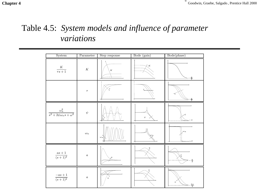### Table 4.5: *System models and influence of parameter variations*

| System                                            | Parameter        | Step response    | Bode (gain)      | Bode(phase)                  |
|---------------------------------------------------|------------------|------------------|------------------|------------------------------|
| $\frac{K}{\tau s+1}$                              | $\cal K$         | $\cal K$         | $\chi_K$         | $\frac{\pi}{2}$              |
|                                                   | $\tau$           |                  |                  | $\frac{\pi}{2}$              |
| $\frac{\omega_n^2}{s^2+2\psi\omega_n s+\omega^2}$ | $\psi$           |                  | $\psi$           |                              |
|                                                   | $\omega_n$       | $\omega_n$       |                  | $\omega\,n$<br>$\pi$         |
| $\frac{as+1}{(s+1)^2}$                            | $\boldsymbol{a}$ |                  | $\frac{a}{2}$    | $-\frac{\pi}{2}$             |
| $\frac{-as+1}{(s+1)^2}$                           | $\boldsymbol{a}$ | $\boldsymbol{a}$ | $\boldsymbol{a}$ | $\alpha$<br>$\frac{3\pi}{2}$ |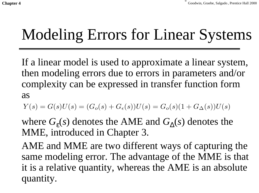# Modeling Errors for Linear Systems

If a linear model is used to approximate a linear system, then modeling errors due to errors in parameters and/or complexity can be expressed in transfer function form as

 $Y(s) = G(s)U(s) = (G_o(s) + G_\epsilon(s))U(s) = G_o(s)(1+G_\Delta(s))U(s)$ 

where  $G_{\epsilon}(s)$  denotes the AME and  $G_{\lambda}(s)$  denotes the MME, introduced in Chapter 3.

AME and MME are two different ways of capturing the same modeling error. The advantage of the MME is that it is a relative quantity, whereas the AME is an absolute quantity.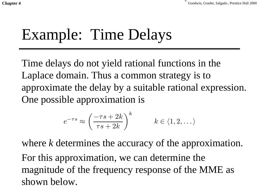# Example: Time Delays

Time delays do not yield rational functions in the Laplace domain. Thus a common strategy is to approximate the delay by a suitable rational expression. One possible approximation is

$$
e^{-\tau s} \approx \left(\frac{-\tau s + 2k}{\tau s + 2k}\right)^k \qquad k \in \langle 1, 2, \dots \rangle
$$

where *k* determines the accuracy of the approximation. For this approximation, we can determine the magnitude of the frequency response of the MME as shown below.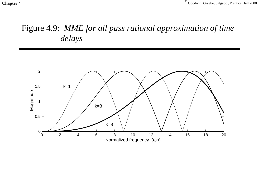### Figure 4.9: *MME for all pass rational approximation of time delays*

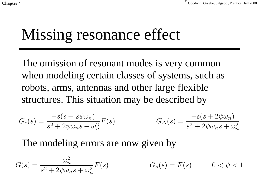## Missing resonance effect

The omission of resonant modes is very common when modeling certain classes of systems, such as robots, arms, antennas and other large flexible structures. This situation may be described by

$$
G_{\epsilon}(s) = \frac{-s(s + 2\psi\omega_n)}{s^2 + 2\psi\omega_n s + \omega_n^2} F(s) \qquad G_{\Delta}(s) = \frac{-s(s + 2\psi\omega_n)}{s^2 + 2\psi\omega_n s + \omega_n^2}
$$

The modeling errors are now given by

$$
G(s) = \frac{\omega_n^2}{s^2 + 2\psi\omega_n s + \omega_n^2} F(s) \qquad G_o(s) = F(s) \qquad 0 < \psi < 1
$$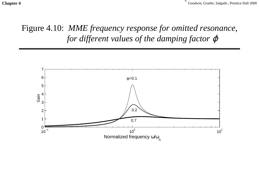Chapter 4<sup> **Chapter 4 Chapter 4 Chapter 4 Chapter 4 Chapter 4 Chapter 4 Chapter 4 Chapter 4 Chapter 4 C** Goodwin, Graebe, Salgado , Prentice Hall 2000</sup>

### Figure 4.10: *MME frequency response for omitted resonance, for different values of the damping factor*  $\varphi$

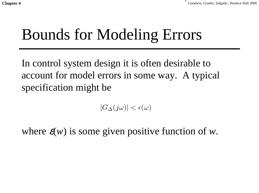## Bounds for Modeling Errors

In control system design it is often desirable to account for model errors in some way. A typical specification might be

 $|G_{\Delta}(j\omega)| < \epsilon(\omega)$ 

where  $\varepsilon(w)$  is some given positive function of *w*.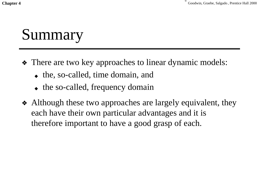**Chapter 4** Goodwin, Graebe, Salgado *, Prentice Hall 2000* 

# Summary

- ❖ There are two key approaches to linear dynamic models:
	- ◆ the, so-called, time domain, and
	- the so-called, frequency domain
- ❖ Although these two approaches are largely equivalent, they each have their own particular advantages and it is therefore important to have a good grasp of each.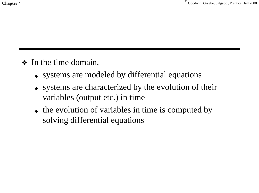- ❖ In the time domain,
	- ◆ systems are modeled by differential equations
	- ◆ systems are characterized by the evolution of their variables (output etc.) in time
	- the evolution of variables in time is computed by solving differential equations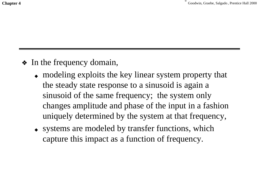**Chapter 4** Goodwin, Graebe, Salgado *, Prentice Hall 2000* 

- ❖ In the frequency domain,
	- ◆ modeling exploits the key linear system property that the steady state response to a sinusoid is again a sinusoid of the same frequency; the system only changes amplitude and phase of the input in a fashion uniquely determined by the system at that frequency,
	- ◆ systems are modeled by transfer functions, which capture this impact as a function of frequency.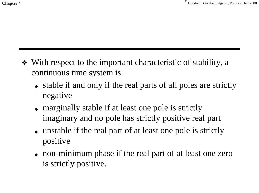- ❖ With respect to the important characteristic of stability, a continuous time system is
	- ◆ stable if and only if the real parts of all poles are strictly negative
	- ◆ marginally stable if at least one pole is strictly imaginary and no pole has strictly positive real part
	- ◆ unstable if the real part of at least one pole is strictly positive
	- ◆ non-minimum phase if the real part of at least one zero is strictly positive.